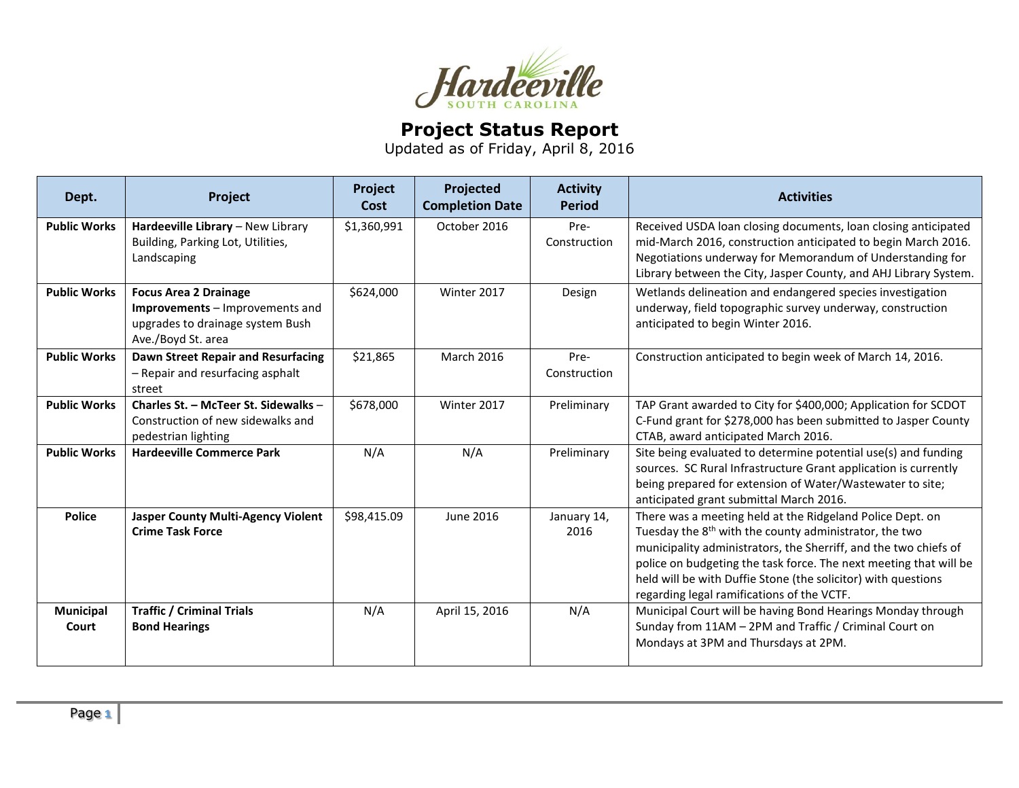

## **Project Status Report**

Updated as of Friday, April 8, 2016

| Dept.               | Project                                                                                                                   | Project<br>Cost | Projected<br><b>Completion Date</b> | <b>Activity</b><br><b>Period</b> | <b>Activities</b>                                                                                                                                                                                                                                                                                                                                                                       |
|---------------------|---------------------------------------------------------------------------------------------------------------------------|-----------------|-------------------------------------|----------------------------------|-----------------------------------------------------------------------------------------------------------------------------------------------------------------------------------------------------------------------------------------------------------------------------------------------------------------------------------------------------------------------------------------|
| <b>Public Works</b> | Hardeeville Library - New Library<br>Building, Parking Lot, Utilities,<br>Landscaping                                     | \$1,360,991     | October 2016                        | Pre-<br>Construction             | Received USDA loan closing documents, loan closing anticipated<br>mid-March 2016, construction anticipated to begin March 2016.<br>Negotiations underway for Memorandum of Understanding for<br>Library between the City, Jasper County, and AHJ Library System.                                                                                                                        |
| <b>Public Works</b> | <b>Focus Area 2 Drainage</b><br>Improvements - Improvements and<br>upgrades to drainage system Bush<br>Ave./Boyd St. area | \$624,000       | Winter 2017                         | Design                           | Wetlands delineation and endangered species investigation<br>underway, field topographic survey underway, construction<br>anticipated to begin Winter 2016.                                                                                                                                                                                                                             |
| <b>Public Works</b> | <b>Dawn Street Repair and Resurfacing</b><br>- Repair and resurfacing asphalt<br>street                                   | \$21,865        | March 2016                          | Pre-<br>Construction             | Construction anticipated to begin week of March 14, 2016.                                                                                                                                                                                                                                                                                                                               |
| <b>Public Works</b> | Charles St. - McTeer St. Sidewalks -<br>Construction of new sidewalks and<br>pedestrian lighting                          | \$678,000       | Winter 2017                         | Preliminary                      | TAP Grant awarded to City for \$400,000; Application for SCDOT<br>C-Fund grant for \$278,000 has been submitted to Jasper County<br>CTAB, award anticipated March 2016.                                                                                                                                                                                                                 |
| <b>Public Works</b> | <b>Hardeeville Commerce Park</b>                                                                                          | N/A             | N/A                                 | Preliminary                      | Site being evaluated to determine potential use(s) and funding<br>sources. SC Rural Infrastructure Grant application is currently<br>being prepared for extension of Water/Wastewater to site;<br>anticipated grant submittal March 2016.                                                                                                                                               |
| <b>Police</b>       | <b>Jasper County Multi-Agency Violent</b><br><b>Crime Task Force</b>                                                      | \$98,415.09     | <b>June 2016</b>                    | January 14,<br>2016              | There was a meeting held at the Ridgeland Police Dept. on<br>Tuesday the 8 <sup>th</sup> with the county administrator, the two<br>municipality administrators, the Sherriff, and the two chiefs of<br>police on budgeting the task force. The next meeting that will be<br>held will be with Duffie Stone (the solicitor) with questions<br>regarding legal ramifications of the VCTF. |
| Municipal<br>Court  | <b>Traffic / Criminal Trials</b><br><b>Bond Hearings</b>                                                                  | N/A             | April 15, 2016                      | N/A                              | Municipal Court will be having Bond Hearings Monday through<br>Sunday from 11AM - 2PM and Traffic / Criminal Court on<br>Mondays at 3PM and Thursdays at 2PM.                                                                                                                                                                                                                           |